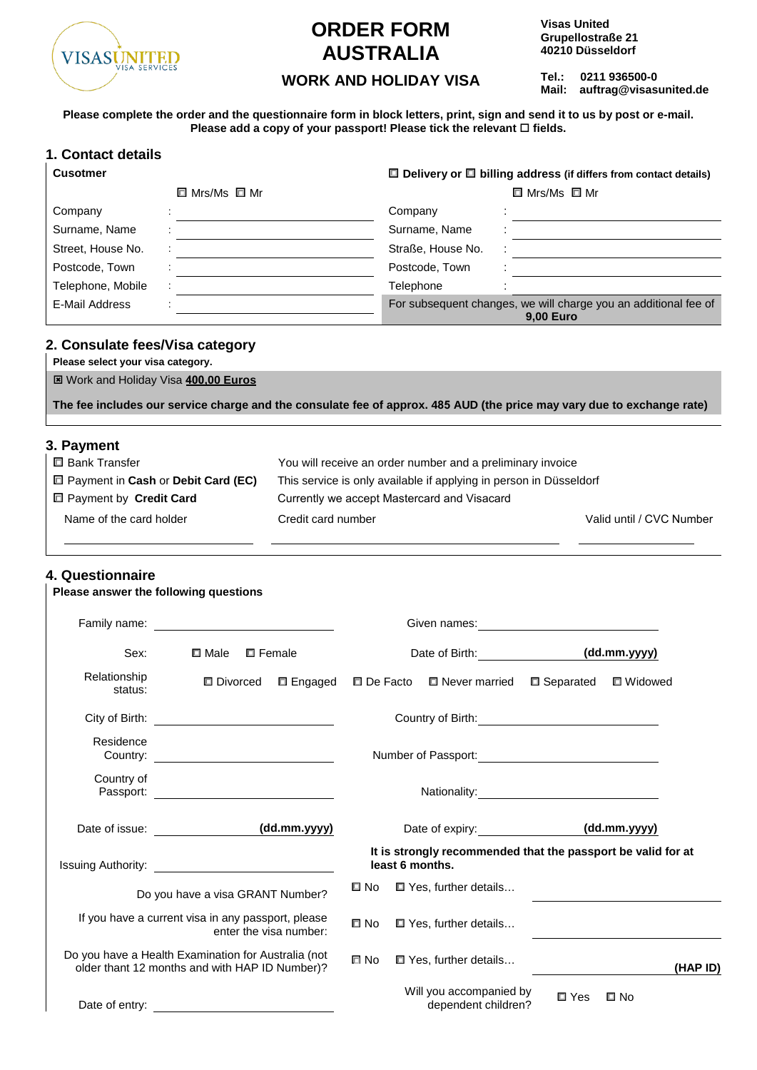

## **ORDER FORM AUSTRALIA**

**Visas United Grupellostraße 21 40210 Düsseldorf**

**Tel.: 0211 936500-0 WORK AND HOLIDAY VISA** Tel.: 0211 936500-0<br>Mail: auftrag@visasunited.de

**Please complete the order and the questionnaire form in block letters, print, sign and send it to us by post or e-mail. Please add a copy of your passport! Please tick the relevant □ fields.** 

| 1. Contact details |                               |                                                                                     |  |  |  |
|--------------------|-------------------------------|-------------------------------------------------------------------------------------|--|--|--|
| <b>Cusotmer</b>    |                               | $\Box$ Delivery or $\Box$ billing address (if differs from contact details)         |  |  |  |
|                    | $\square$ Mrs/Ms $\square$ Mr | $\square$ Mrs/Ms $\square$ Mr                                                       |  |  |  |
| Company            |                               | Company                                                                             |  |  |  |
| Surname, Name      |                               | Surname, Name                                                                       |  |  |  |
| Street, House No.  |                               | Straße, House No.                                                                   |  |  |  |
| Postcode, Town     |                               | Postcode, Town                                                                      |  |  |  |
| Telephone, Mobile  |                               | Telephone                                                                           |  |  |  |
| E-Mail Address     |                               | For subsequent changes, we will charge you an additional fee of<br><b>9.00 Euro</b> |  |  |  |

### **2. Consulate fees/Visa category**

**Please select your visa category.**

Work and Holiday Visa **400,00 Euros**

**The fee includes our service charge and the consulate fee of approx. 485 AUD (the price may vary due to exchange rate)** 

#### **3. Payment**

| □ Bank Transfer                      | You will receive an order number and a preliminary invoice         |                          |
|--------------------------------------|--------------------------------------------------------------------|--------------------------|
| □ Payment in Cash or Debit Card (EC) | This service is only available if applying in person in Düsseldorf |                          |
| □ Payment by Credit Card             | Currently we accept Mastercard and Visacard                        |                          |
| Name of the card holder              | Credit card number                                                 | Valid until / CVC Number |
|                                      |                                                                    |                          |

### **4. Questionnaire**

**Please answer the following questions**

| Sex:                    | $\square$ Male<br>□ Female                                                                            |           | Date of Birth: (dd.mm.yyyy)                                                     |                     |           |
|-------------------------|-------------------------------------------------------------------------------------------------------|-----------|---------------------------------------------------------------------------------|---------------------|-----------|
| Relationship<br>status: | <b>□</b> Divorced<br>□ Engaged                                                                        |           | □ De Facto □ Never married                                                      | $\square$ Separated | □ Widowed |
|                         |                                                                                                       |           |                                                                                 |                     |           |
| Residence               |                                                                                                       |           | Number of Passport:                                                             |                     |           |
| Country of              |                                                                                                       |           |                                                                                 |                     |           |
|                         |                                                                                                       |           |                                                                                 |                     |           |
|                         | Date of issue: (dd.mm.yyyy)                                                                           |           | Date of expiry: (dd.mm.yyyy)                                                    |                     |           |
|                         |                                                                                                       |           | It is strongly recommended that the passport be valid for at<br>least 6 months. |                     |           |
|                         | Do you have a visa GRANT Number?                                                                      | © No      | $\Box$ Yes, further details                                                     |                     |           |
|                         | If you have a current visa in any passport, please<br>enter the visa number:                          | $\Box$ No | $\Box$ Yes, further details                                                     |                     |           |
|                         | Do you have a Health Examination for Australia (not<br>older thant 12 months and with HAP ID Number)? | $\Box$ No | □ Yes, further details                                                          |                     | (HAP ID)  |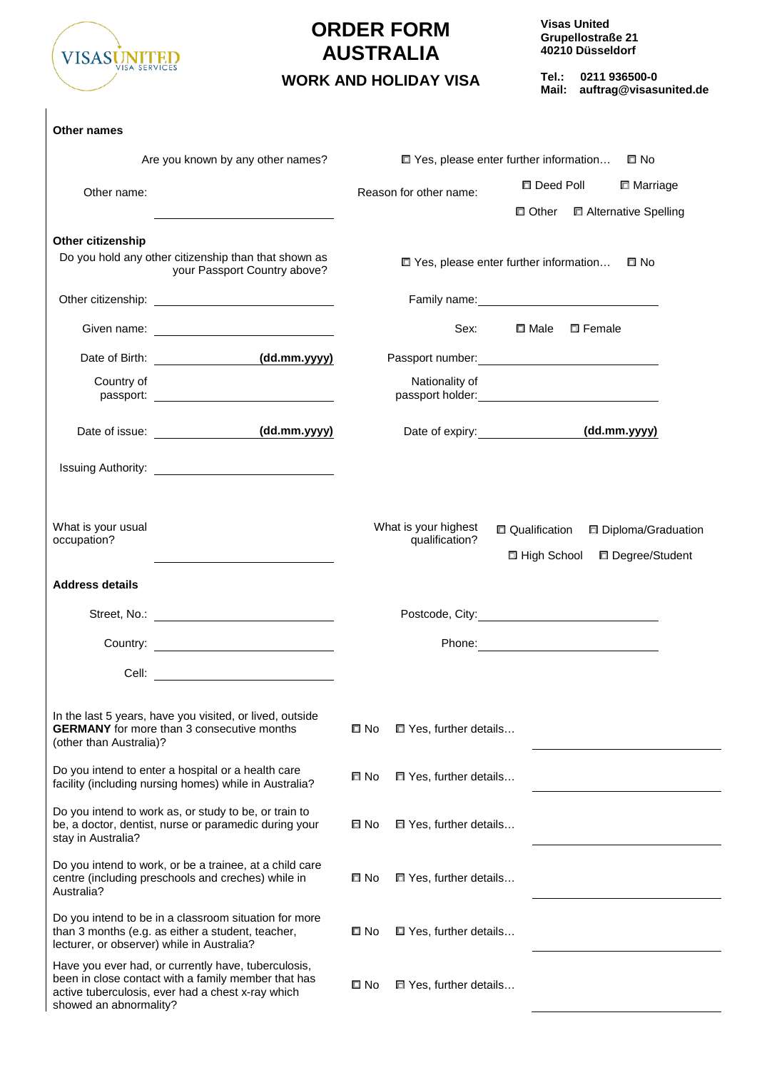

# **ORDER FORM AUSTRALIA**

**Visas United Grupellostraße 21 40210 Düsseldorf**

**Tel.: 0211 936500-0 WORK AND HOLIDAY VISA** Tel.: 0211 936500-0<br>Mail: auftrag@visasunited.de

| <b>Other names</b>                                   |                                                                                                                                                                                                                                |                                                  |                                                                                                                                                                                                                               |                                       |                     |                                          |
|------------------------------------------------------|--------------------------------------------------------------------------------------------------------------------------------------------------------------------------------------------------------------------------------|--------------------------------------------------|-------------------------------------------------------------------------------------------------------------------------------------------------------------------------------------------------------------------------------|---------------------------------------|---------------------|------------------------------------------|
|                                                      | Are you known by any other names?                                                                                                                                                                                              | □ Yes, please enter further information<br>l⊡ No |                                                                                                                                                                                                                               |                                       |                     |                                          |
| Other name:                                          |                                                                                                                                                                                                                                |                                                  | Reason for other name:                                                                                                                                                                                                        |                                       | $\square$ Deed Poll | □ Marriage                               |
|                                                      |                                                                                                                                                                                                                                |                                                  |                                                                                                                                                                                                                               |                                       |                     | □ Other □ Alternative Spelling           |
| Other citizenship                                    | Do you hold any other citizenship than that shown as<br>your Passport Country above?                                                                                                                                           |                                                  | □ Yes, please enter further information                                                                                                                                                                                       |                                       |                     | Π No                                     |
|                                                      |                                                                                                                                                                                                                                |                                                  |                                                                                                                                                                                                                               |                                       |                     |                                          |
|                                                      |                                                                                                                                                                                                                                |                                                  | Sex:                                                                                                                                                                                                                          | $\square$ Male                        | □ Female            |                                          |
|                                                      | Date of Birth: (dd.mm.yyyy)                                                                                                                                                                                                    |                                                  |                                                                                                                                                                                                                               |                                       |                     |                                          |
| Country of                                           |                                                                                                                                                                                                                                |                                                  | Nationality of                                                                                                                                                                                                                |                                       |                     |                                          |
| Date of issue: <u>container and the set of issue</u> | (dd.mm.yyyy)                                                                                                                                                                                                                   |                                                  | Date of expiry: (dd.mm.yyyy)                                                                                                                                                                                                  |                                       |                     |                                          |
|                                                      |                                                                                                                                                                                                                                |                                                  |                                                                                                                                                                                                                               |                                       |                     |                                          |
| What is your usual<br>occupation?                    |                                                                                                                                                                                                                                |                                                  | What is your highest<br>qualification?                                                                                                                                                                                        | <b>Qualification</b><br>□ High School |                     | □ Diploma/Graduation<br>□ Degree/Student |
| <b>Address details</b>                               |                                                                                                                                                                                                                                |                                                  |                                                                                                                                                                                                                               |                                       |                     |                                          |
|                                                      | Street, No.: The contract of the contract of the contract of the contract of the contract of the contract of the contract of the contract of the contract of the contract of the contract of the contract of the contract of t |                                                  | Postcode, City: experience of the control of the control of the control of the control of the control of the control of the control of the control of the control of the control of the control of the control of the control |                                       |                     |                                          |
|                                                      |                                                                                                                                                                                                                                |                                                  |                                                                                                                                                                                                                               |                                       |                     |                                          |
|                                                      |                                                                                                                                                                                                                                |                                                  |                                                                                                                                                                                                                               |                                       |                     |                                          |
| (other than Australia)?                              | In the last 5 years, have you visited, or lived, outside<br><b>GERMANY</b> for more than 3 consecutive months                                                                                                                  | ם No                                             | □ Yes, further details                                                                                                                                                                                                        |                                       |                     |                                          |
|                                                      | Do you intend to enter a hospital or a health care<br>facility (including nursing homes) while in Australia?                                                                                                                   | ⊡ No                                             | T Yes, further details                                                                                                                                                                                                        |                                       |                     |                                          |
| stay in Australia?                                   | Do you intend to work as, or study to be, or train to<br>be, a doctor, dentist, nurse or paramedic during your                                                                                                                 | □ No                                             | □ Yes, further details                                                                                                                                                                                                        |                                       |                     |                                          |
| Australia?                                           | Do you intend to work, or be a trainee, at a child care<br>centre (including preschools and creches) while in                                                                                                                  | ⊡ No                                             | □ Yes, further details                                                                                                                                                                                                        |                                       |                     |                                          |
| lecturer, or observer) while in Australia?           | Do you intend to be in a classroom situation for more<br>than 3 months (e.g. as either a student, teacher,                                                                                                                     | ⊡ No                                             | $\Box$ Yes, further details                                                                                                                                                                                                   |                                       |                     |                                          |
| showed an abnormality?                               | Have you ever had, or currently have, tuberculosis,<br>been in close contact with a family member that has<br>active tuberculosis, ever had a chest x-ray which                                                                | $\square$ No                                     | T Yes, further details                                                                                                                                                                                                        |                                       |                     |                                          |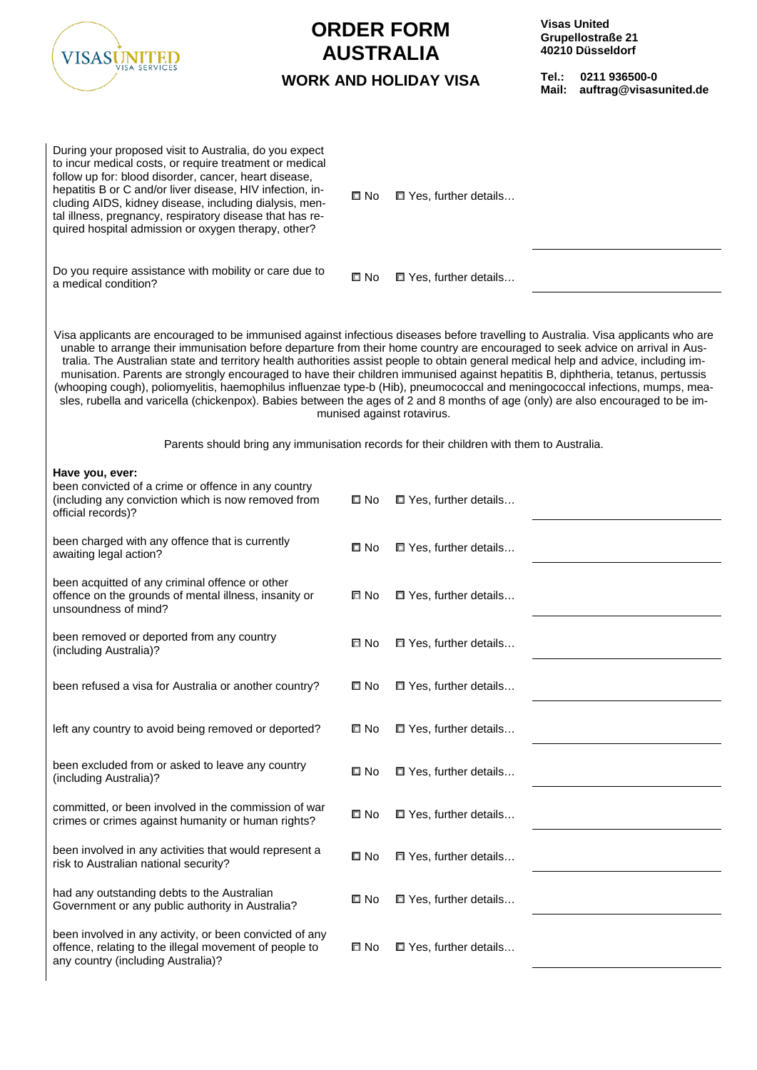| VISASUN                                                                                                                                                                                                                                                                                                                                                                                                                                                                                                                                                                                                                                                                                                                                                                                                             |              | <b>ORDER FORM</b><br><b>AUSTRALIA</b><br><b>WORK AND HOLIDAY VISA</b>                    | Tel.:<br>Mail: | <b>Visas United</b><br>Grupellostraße 21<br>40210 Düsseldorf<br>0211 936500-0<br>auftrag@visasunited.de |
|---------------------------------------------------------------------------------------------------------------------------------------------------------------------------------------------------------------------------------------------------------------------------------------------------------------------------------------------------------------------------------------------------------------------------------------------------------------------------------------------------------------------------------------------------------------------------------------------------------------------------------------------------------------------------------------------------------------------------------------------------------------------------------------------------------------------|--------------|------------------------------------------------------------------------------------------|----------------|---------------------------------------------------------------------------------------------------------|
| During your proposed visit to Australia, do you expect<br>to incur medical costs, or require treatment or medical<br>follow up for: blood disorder, cancer, heart disease,<br>hepatitis B or C and/or liver disease, HIV infection, in-<br>cluding AIDS, kidney disease, including dialysis, men-<br>tal illness, pregnancy, respiratory disease that has re-<br>quired hospital admission or oxygen therapy, other?                                                                                                                                                                                                                                                                                                                                                                                                | © No         | $\Box$ Yes, further details                                                              |                |                                                                                                         |
| Do you require assistance with mobility or care due to<br>a medical condition?                                                                                                                                                                                                                                                                                                                                                                                                                                                                                                                                                                                                                                                                                                                                      | □ No         | T Yes, further details                                                                   |                |                                                                                                         |
| Visa applicants are encouraged to be immunised against infectious diseases before travelling to Australia. Visa applicants who are<br>unable to arrange their immunisation before departure from their home country are encouraged to seek advice on arrival in Aus-<br>tralia. The Australian state and territory health authorities assist people to obtain general medical help and advice, including im-<br>munisation. Parents are strongly encouraged to have their children immunised against hepatitis B, diphtheria, tetanus, pertussis<br>(whooping cough), poliomyelitis, haemophilus influenzae type-b (Hib), pneumococcal and meningococcal infections, mumps, mea-<br>sles, rubella and varicella (chickenpox). Babies between the ages of 2 and 8 months of age (only) are also encouraged to be im- |              | munised against rotavirus.                                                               |                |                                                                                                         |
|                                                                                                                                                                                                                                                                                                                                                                                                                                                                                                                                                                                                                                                                                                                                                                                                                     |              | Parents should bring any immunisation records for their children with them to Australia. |                |                                                                                                         |
| Have you, ever:<br>been convicted of a crime or offence in any country<br>(including any conviction which is now removed from<br>official records)?                                                                                                                                                                                                                                                                                                                                                                                                                                                                                                                                                                                                                                                                 | © No         | $\Box$ Yes, further details                                                              |                |                                                                                                         |
| been charged with any offence that is currently<br>awaiting legal action?                                                                                                                                                                                                                                                                                                                                                                                                                                                                                                                                                                                                                                                                                                                                           | © No         | $\Box$ Yes, further details                                                              |                |                                                                                                         |
| been acquitted of any criminal offence or other<br>offence on the grounds of mental illness, insanity or<br>unsoundness of mind?                                                                                                                                                                                                                                                                                                                                                                                                                                                                                                                                                                                                                                                                                    | □ No         | □ Yes, further details                                                                   |                |                                                                                                         |
| been removed or deported from any country<br>(including Australia)?                                                                                                                                                                                                                                                                                                                                                                                                                                                                                                                                                                                                                                                                                                                                                 | □ No         | □ Yes, further details                                                                   |                |                                                                                                         |
| been refused a visa for Australia or another country?                                                                                                                                                                                                                                                                                                                                                                                                                                                                                                                                                                                                                                                                                                                                                               | □ No         | T Yes, further details                                                                   |                |                                                                                                         |
| left any country to avoid being removed or deported?                                                                                                                                                                                                                                                                                                                                                                                                                                                                                                                                                                                                                                                                                                                                                                | □ No         | T Yes, further details                                                                   |                |                                                                                                         |
| been excluded from or asked to leave any country<br>(including Australia)?                                                                                                                                                                                                                                                                                                                                                                                                                                                                                                                                                                                                                                                                                                                                          | ⊡ No         | T Yes, further details                                                                   |                |                                                                                                         |
| committed, or been involved in the commission of war<br>crimes or crimes against humanity or human rights?                                                                                                                                                                                                                                                                                                                                                                                                                                                                                                                                                                                                                                                                                                          | □ No         | □ Yes, further details                                                                   |                |                                                                                                         |
| been involved in any activities that would represent a<br>risk to Australian national security?                                                                                                                                                                                                                                                                                                                                                                                                                                                                                                                                                                                                                                                                                                                     | $\square$ No | T Yes, further details                                                                   |                |                                                                                                         |
| had any outstanding debts to the Australian<br>Government or any public authority in Australia?                                                                                                                                                                                                                                                                                                                                                                                                                                                                                                                                                                                                                                                                                                                     | □ No         | T Yes, further details                                                                   |                |                                                                                                         |
| been involved in any activity, or been convicted of any<br>offence, relating to the illegal movement of people to                                                                                                                                                                                                                                                                                                                                                                                                                                                                                                                                                                                                                                                                                                   | $\square$ No | □ Yes, further details                                                                   |                |                                                                                                         |

any country (including Australia)?